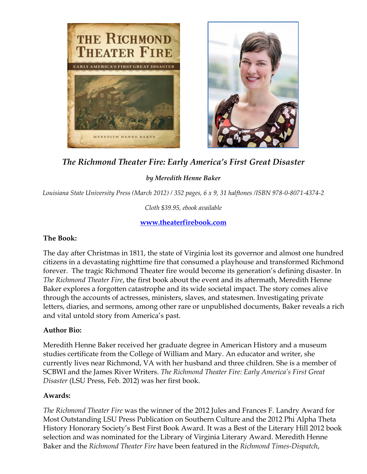

# *The Richmond Theater Fire: Early America's First Great Disaster*

## *by Meredith Henne Baker*

*Louisiana State University Press (March 2012) / 352 pages, 6 x 9, 31 halftones /ISBN 978-0-8071-4374-2*

*Cloth \$39.95, ebook available*

## **[www.theaterfirebook.com](http://www.theaterfirebook.com/)**

#### **The Book:**

The day after Christmas in 1811, the state of Virginia lost its governor and almost one hundred citizens in a devastating nighttime fire that consumed a playhouse and transformed Richmond forever. The tragic Richmond Theater fire would become its generation's defining disaster. In *The Richmond Theater Fire*, the first book about the event and its aftermath, Meredith Henne Baker explores a forgotten catastrophe and its wide societal impact. The story comes alive through the accounts of actresses, ministers, slaves, and statesmen. Investigating private letters, diaries, and sermons, among other rare or unpublished documents, Baker reveals a rich and vital untold story from America's past.

### **Author Bio:**

Meredith Henne Baker received her graduate degree in American History and a museum studies certificate from the College of William and Mary. An educator and writer, she currently lives near Richmond, VA with her husband and three children. She is a member of SCBWI and the James River Writers. *The Richmond Theater Fire: Early America's First Great Disaster* (LSU Press, Feb. 2012) was her first book.

#### **Awards:**

*The Richmond Theater Fire* was the winner of the 2012 Jules and Frances F. Landry Award for Most Outstanding LSU Press Publication on Southern Culture and the 2012 Phi Alpha Theta History Honorary Society's Best First Book Award. It was a Best of the Literary Hill 2012 book selection and was nominated for the Library of Virginia Literary Award. Meredith Henne Baker and the *Richmond Theater Fire* have been featured in the *Richmond Times-Dispatch*,